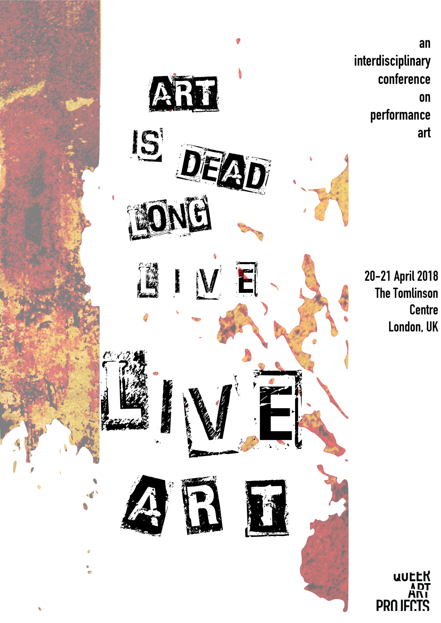





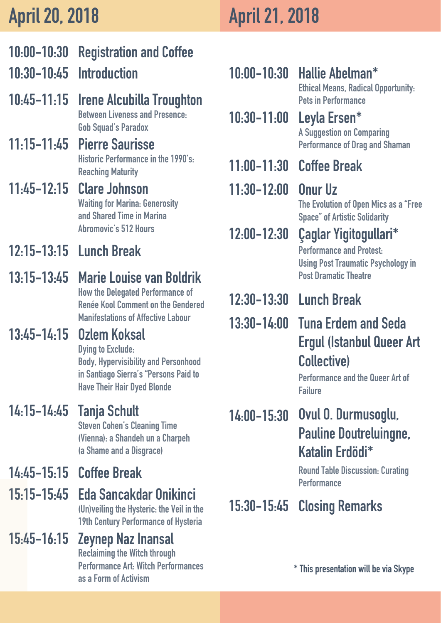## 10:00-10:30 Registration and Coffee 10:30-10:45 Introduction

10:45-11:15 Irene Alcubilla Troughton Between Liveness and Presence: Gob Squad's Paradox

### 12:15-13:15 Lunch Break

14:45-15:15 Coffee Break

## 11:45-12:15 Clare Johnson

Waiting for Marina: Generosity and Shared Time in Marina Abromovic's 512 Hours

(Un)veiling the Hysteric: the Veil in the 19th Century Performance of Hysteria

#### Eda Sancakdar Onikinci 15:15-15:45

## 11:15-11:45 Pierre Saurisse

13:15-13:45 Marie Louise van Boldrik How the Delegated Performance of Renée Kool Comment on the Gendered Manifestations of Affective Labour

#### 13:45-14:15 Ozlem Koksal

#### 14:15-14:45 Tanja Schult Steven Cohen's Cleaning Time (Vienna): a Shandeh un a Charpeh (a Shame and a Disgrace)

Historic Performance in the 1990's: Reaching Maturity

#### 15:45-16:15 Zeynep Naz Inansal Reclaiming the Witch through Performance Art: Witch Performances as a Form of Activism

Performance and the Queer Art of **Failure** 

Dying to Exclude: Body, Hypervisibility and Personhood in Santiago Sierra's "Persons Paid to Have Their Hair Dyed Blonde

Ethical Means, Radical Opportunity: Pets in Performance

## Hallie Abelman\* 10:00-10:30

#### Leyla Ersen\* 10:30-11:00 A Suggestion on Comparing Performance of Drag and Shaman

11:30-12:00 Onur Uz 12:00-12:30 Çaglar Yigitogullari\* Performance and Protest: Using Post Traumatic Psychology in Post Dramatic Theatre The Evolution of Open Mics as a "Free Space" of Artistic Solidarity

#### 11:00-11:30 Coffee Break

14:00-15:30 Ovul O. Durmusoglu, Pauline Doutreluingne, Katalin Erdödi\*

#### 15:30-15:45 Closing Remarks

## 13:30-14:00 Tuna Erdem and Seda Ergul (Istanbul Queer Art Collective)

# 12:30-13:30 Lunch Break

Round Table Discussion: Curating



#### \* This presentation will be via Skype



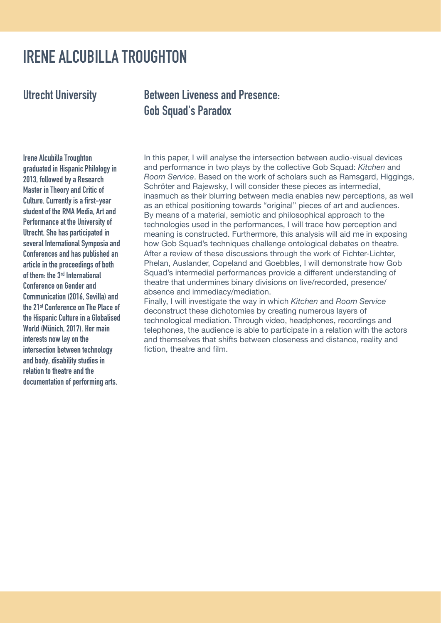In this paper, I will analyse the intersection between audio-visual devices and performance in two plays by the collective Gob Squad: *Kitchen* and *Room Service*. Based on the work of scholars such as Ramsgard, Higgings, Schröter and Rajewsky, I will consider these pieces as intermedial, inasmuch as their blurring between media enables new perceptions, as well as an ethical positioning towards "original" pieces of art and audiences. By means of a material, semiotic and philosophical approach to the technologies used in the performances, I will trace how perception and meaning is constructed. Furthermore, this analysis will aid me in exposing how Gob Squad's techniques challenge ontological debates on theatre. After a review of these discussions through the work of Fichter-Lichter, Phelan, Auslander, Copeland and Goebbles, I will demonstrate how Gob Squad's intermedial performances provide a different understanding of theatre that undermines binary divisions on live/recorded, presence/ absence and immediacy/mediation. Finally, I will investigate the way in which *Kitchen* and *Room Service*

deconstruct these dichotomies by creating numerous layers of

technological mediation. Through video, headphones, recordings and telephones, the audience is able to participate in a relation with the actors and themselves that shifts between closeness and distance, reality and fiction, theatre and film.

Irene Alcubilla Troughton

graduated in Hispanic Philology in 2013, followed by a Research Master in Theory and Critic of Culture. Currently is a first-year student of the RMA Media, Art and Performance at the University of Utrecht. She has participated in several International Symposia and Conferences and has published an article in the proceedings of both of them: the 3rd International Conference on Gender and Communication (2016, Sevilla) and the 21st Conference on The Place of the Hispanic Culture in a Globalised World (Münich, 2017). Her main interests now lay on the intersection between technology and body, disability studies in relation to theatre and the documentation of performing arts.

### IRENE ALCUBILLA TROUGHTON

Utrecht University Between Liveness and Presence: Gob Squad's Paradox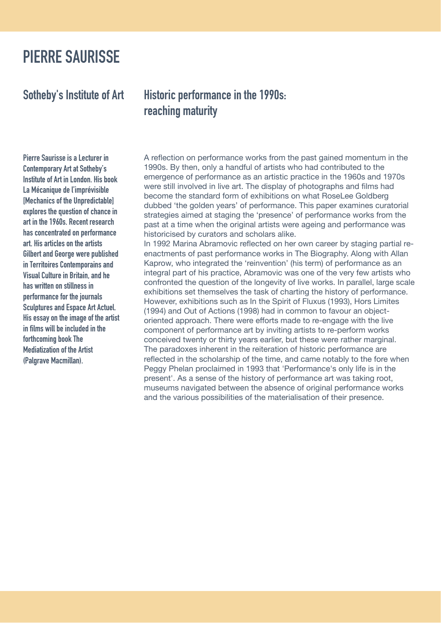A reflection on performance works from the past gained momentum in the

1990s. By then, only a handful of artists who had contributed to the emergence of performance as an artistic practice in the 1960s and 1970s were still involved in live art. The display of photographs and films had become the standard form of exhibitions on what RoseLee Goldberg dubbed 'the golden years' of performance. This paper examines curatorial strategies aimed at staging the 'presence' of performance works from the past at a time when the original artists were ageing and performance was historicised by curators and scholars alike. In 1992 Marina Abramovic reflected on her own career by staging partial reenactments of past performance works in The Biography. Along with Allan Kaprow, who integrated the 'reinvention' (his term) of performance as an integral part of his practice, Abramovic was one of the very few artists who confronted the question of the longevity of live works. In parallel, large scale exhibitions set themselves the task of charting the history of performance. However, exhibitions such as In the Spirit of Fluxus (1993), Hors Limites (1994) and Out of Actions (1998) had in common to favour an objectoriented approach. There were efforts made to re-engage with the live component of performance art by inviting artists to re-perform works conceived twenty or thirty years earlier, but these were rather marginal. The paradoxes inherent in the reiteration of historic performance are reflected in the scholarship of the time, and came notably to the fore when Peggy Phelan proclaimed in 1993 that 'Performance's only life is in the present'. As a sense of the history of performance art was taking root, museums navigated between the absence of original performance works and the various possibilities of the materialisation of their presence.

#### Sotheby's Institute of Art Historic performance in the 1990s: reaching maturity

Pierre Saurisse is a Lecturer in

Contemporary Art at Sotheby's Institute of Art in London. His book La Mécanique de l'imprévisible [Mechanics of the Unpredictable] explores the question of chance in art in the 1960s. Recent research has concentrated on performance art. His articles on the artists Gilbert and George were published in Territoires Contemporains and Visual Culture in Britain, and he has written on stillness in performance for the journals Sculptures and Espace Art Actuel. His essay on the image of the artist in films will be included in the forthcoming book The Mediatization of the Artist (Palgrave Macmillan).

### PIERRE SAURISSE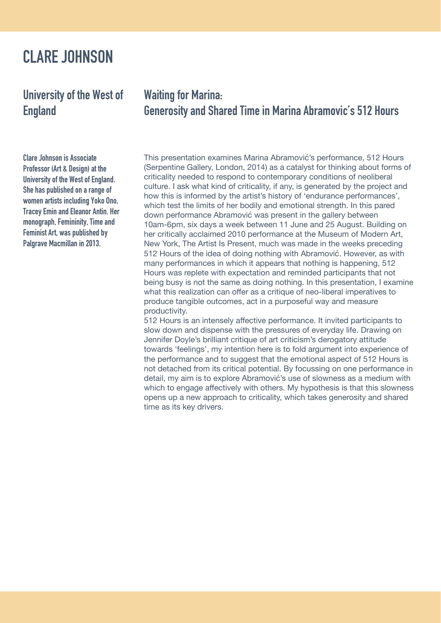This presentation examines Marina Abramović's performance, 512 Hours

(Serpentine Gallery, London, 2014) as a catalyst for thinking about forms of criticality needed to respond to contemporary conditions of neoliberal culture. I ask what kind of criticality, if any, is generated by the project and how this is informed by the artist's history of 'endurance performances', which test the limits of her bodily and emotional strength. In this pared down performance Abramović was present in the gallery between 10am-6pm, six days a week between 11 June and 25 August. Building on her critically acclaimed 2010 performance at the Museum of Modern Art, New York, The Artist Is Present, much was made in the weeks preceding 512 Hours of the idea of doing nothing with Abramović. However, as with many performances in which it appears that nothing is happening, 512 Hours was replete with expectation and reminded participants that not being busy is not the same as doing nothing. In this presentation, I examine what this realization can offer as a critique of neo-liberal imperatives to produce tangible outcomes, act in a purposeful way and measure productivity.

512 Hours is an intensely affective performance. It invited participants to slow down and dispense with the pressures of everyday life. Drawing on Jennifer Doyle's brilliant critique of art criticism's derogatory attitude towards 'feelings', my intention here is to fold argument into experience of the performance and to suggest that the emotional aspect of 512 Hours is not detached from its critical potential. By focussing on one performance in detail, my aim is to explore Abramović's use of slowness as a medium with which to engage affectively with others. My hypothesis is that this slowness opens up a new approach to criticality, which takes generosity and shared time as its key drivers.

Clare Johnson is Associate

Professor (Art & Design) at the University of the West of England. She has published on a range of women artists including Yoko Ono, Tracey Emin and Eleanor Antin. Her monograph, Femininity, Time and Feminist Art, was published by Palgrave Macmillan in 2013.

#### CLARE JOHNSON

#### University of the West of England Waiting for Marina: Generosity and Shared Time in Marina Abramovic's 512 Hours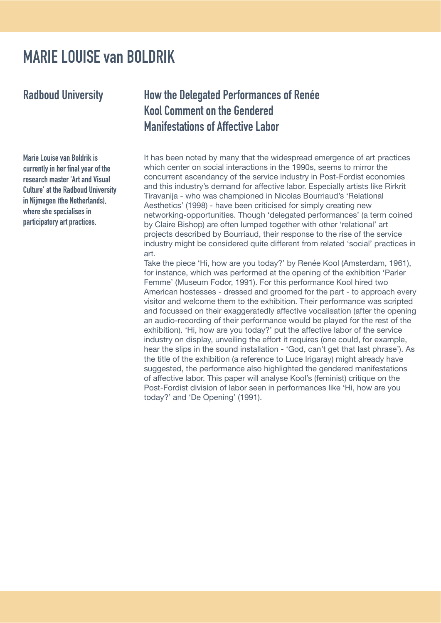It has been noted by many that the widespread emergence of art practices which center on social interactions in the 1990s, seems to mirror the concurrent ascendancy of the service industry in Post-Fordist economies and this industry's demand for affective labor. Especially artists like Rirkrit Tiravanija - who was championed in Nicolas Bourriaud's 'Relational Aesthetics' (1998) - have been criticised for simply creating new networking-opportunities. Though 'delegated performances' (a term coined by Claire Bishop) are often lumped together with other 'relational' art projects described by Bourriaud, their response to the rise of the service industry might be considered quite different from related 'social' practices in art. Take the piece 'Hi, how are you today?' by Renée Kool (Amsterdam, 1961), for instance, which was performed at the opening of the exhibition 'Parler Femme' (Museum Fodor, 1991). For this performance Kool hired two American hostesses - dressed and groomed for the part - to approach every visitor and welcome them to the exhibition. Their performance was scripted and focussed on their exaggeratedly affective vocalisation (after the opening an audio-recording of their performance would be played for the rest of the exhibition). 'Hi, how are you today?' put the affective labor of the service industry on display, unveiling the effort it requires (one could, for example, hear the slips in the sound installation - 'God, can't get that last phrase'). As the title of the exhibition (a reference to Luce Irigaray) might already have suggested, the performance also highlighted the gendered manifestations of affective labor. This paper will analyse Kool's (feminist) critique on the Post-Fordist division of labor seen in performances like 'Hi, how are you today?' and 'De Opening' (1991).

Marie Louise van Boldrik is currently in her final year of the research master 'Art and Visual Culture' at the Radboud University in Nijmegen (the Netherlands), where she specialises in participatory art practices.

## MARIE LOUISE van BOLDRIK

Radboud University How the Delegated Performances of Renée Kool Comment on the Gendered Manifestations of Affective Labor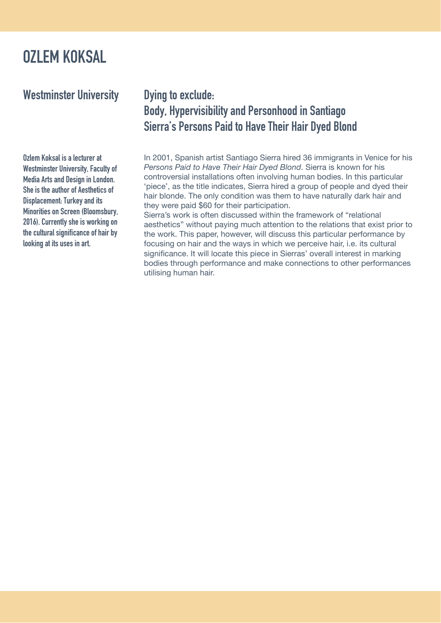In 2001, Spanish artist Santiago Sierra hired 36 immigrants in Venice for his *Persons Paid to Have Their Hair Dyed Blond*. Sierra is known for his controversial installations often involving human bodies. In this particular 'piece', as the title indicates, Sierra hired a group of people and dyed their hair blonde. The only condition was them to have naturally dark hair and they were paid \$60 for their participation. Sierra's work is often discussed within the framework of "relational aesthetics" without paying much attention to the relations that exist prior to the work. This paper, however, will discuss this particular performance by focusing on hair and the ways in which we perceive hair, i.e. its cultural significance. It will locate this piece in Sierras' overall interest in marking bodies through performance and make connections to other performances utilising human hair.

Ozlem Koksal is a lecturer at Westminster University, Faculty of Media Arts and Design in London. She is the author of Aesthetics of Displacement: Turkey and its Minorities on Screen (Bloomsbury, 2016). Currently she is working on the cultural significance of hair by looking at its uses in art.

#### OZLEM KOKSAL

Westminster University Dying to exclude:

# Body, Hypervisibility and Personhood in Santiago Sierra's Persons Paid to Have Their Hair Dyed Blond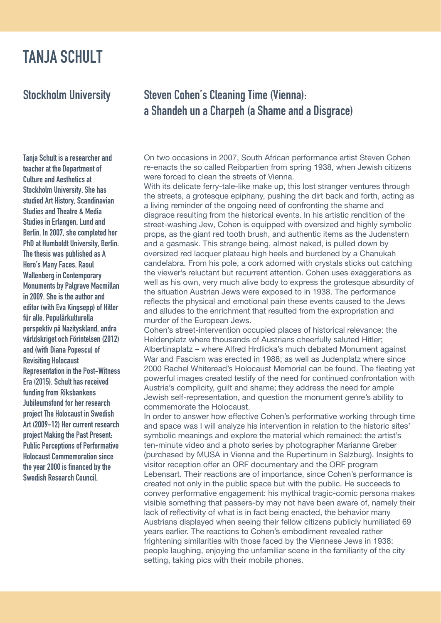On two occasions in 2007, South African performance artist Steven Cohen re-enacts the so called Reibpartien from spring 1938, when Jewish citizens were forced to clean the streets of Vienna.

With its delicate ferry-tale-like make up, this lost stranger ventures through the streets, a grotesque epiphany, pushing the dirt back and forth, acting as a living reminder of the ongoing need of confronting the shame and disgrace resulting from the historical events. In his artistic rendition of the street-washing Jew, Cohen is equipped with oversized and highly symbolic props, as the giant red tooth brush, and authentic items as the Judenstern and a gasmask. This strange being, almost naked, is pulled down by oversized red lacquer plateau high heels and burdened by a Chanukah candelabra. From his pole, a cork adorned with crystals sticks out catching the viewer's reluctant but recurrent attention. Cohen uses exaggerations as well as his own, very much alive body to express the grotesque absurdity of the situation Austrian Jews were exposed to in 1938. The performance reflects the physical and emotional pain these events caused to the Jews and alludes to the enrichment that resulted from the expropriation and

#### murder of the European Jews.

Cohen's street-intervention occupied places of historical relevance: the Heldenplatz where thousands of Austrians cheerfully saluted Hitler; Albertinaplatz – where Alfred Hrdlicka's much debated Monument against War and Fascism was erected in 1988; as well as Judenplatz where since 2000 Rachel Whiteread's Holocaust Memorial can be found. The fleeting yet powerful images created testify of the need for continued confrontation with Austria's complicity, guilt and shame; they address the need for ample Jewish self-representation, and question the monument genre's ability to commemorate the Holocaust.

In order to answer how effective Cohen's performative working through time and space was I will analyze his intervention in relation to the historic sites' symbolic meanings and explore the material which remained: the artist's ten-minute video and a photo series by photographer Marianne Greber (purchased by MUSA in Vienna and the Rupertinum in Salzburg). Insights to visitor reception offer an ORF documentary and the ORF program Lebensart. Their reactions are of importance, since Cohen's performance is created not only in the public space but with the public. He succeeds to convey performative engagement: his mythical tragic-comic persona makes visible something that passers-by may not have been aware of, namely their lack of reflectivity of what is in fact being enacted, the behavior many Austrians displayed when seeing their fellow citizens publicly humiliated 69 years earlier. The reactions to Cohen's embodiment revealed rather frightening similarities with those faced by the Viennese Jews in 1938: people laughing, enjoying the unfamiliar scene in the familiarity of the city setting, taking pics with their mobile phones.

#### Stockholm University Steven Cohen's Cleaning Time (Vienna): a Shandeh un a Charpeh (a Shame and a Disgrace)

Tanja Schult is a researcher and

teacher at the Department of Culture and Aesthetics at Stockholm University. She has studied Art History, Scandinavian Studies and Theatre & Media Studies in Erlangen, Lund and Berlin. In 2007, she completed her PhD at Humboldt University, Berlin. The thesis was published as A Hero's Many Faces. Raoul Wallenberg in Contemporary Monuments by Palgrave Macmillan in 2009. She is the author and editor (with Eva Kingsepp) of Hitler für alle. Populärkulturella perspektiv på Nazityskland, andra världskriget och Förintelsen (2012) and (with Diana Popescu) of Revisiting Holocaust Representation in the Post-Witness Era (2015). Schult has received funding from Riksbankens Jubileumsfond for her research project The Holocaust in Swedish Art (2009-12) Her current research project Making the Past Present: Public Perceptions of Performative Holocaust Commemoration since the year 2000 is financed by the

## TANJA SCHULT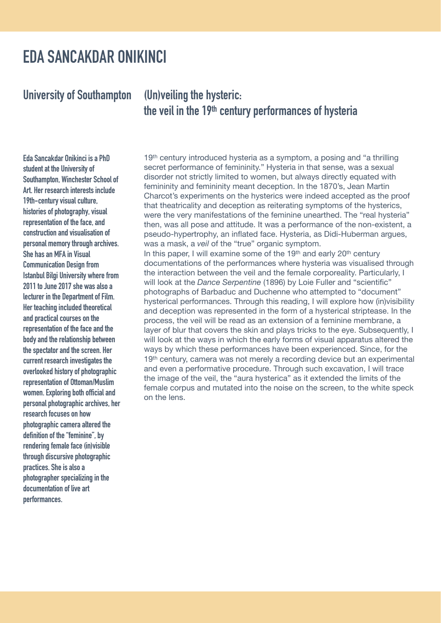19th century introduced hysteria as a symptom, a posing and "a thrilling

secret performance of femininity." Hysteria in that sense, was a sexual disorder not strictly limited to women, but always directly equated with femininity and femininity meant deception. In the 1870's, Jean Martin Charcot's experiments on the hysterics were indeed accepted as the proof that theatricality and deception as reiterating symptoms of the hysterics, were the very manifestations of the feminine unearthed. The "real hysteria" then, was all pose and attitude. It was a performance of the non-existent, a pseudo-hypertrophy, an inflated face. Hysteria, as Didi-Huberman argues, was a mask, a *veil* of the "true" organic symptom. In this paper, I will examine some of the 19<sup>th</sup> and early 20<sup>th</sup> century documentations of the performances where hysteria was visualised through the interaction between the veil and the female corporeality. Particularly, I will look at the *Dance Serpentine* (1896) by Loie Fuller and "scientific" photographs of Barbaduc and Duchenne who attempted to "document" hysterical performances. Through this reading, I will explore how (in)visibility and deception was represented in the form of a hysterical striptease. In the process, the veil will be read as an extension of a feminine membrane, a layer of blur that covers the skin and plays tricks to the eye. Subsequently, I will look at the ways in which the early forms of visual apparatus altered the ways by which these performances have been experienced. Since, for the 19<sup>th</sup> century, camera was not merely a recording device but an experimental and even a performative procedure. Through such excavation, I will trace the image of the veil, the "aura hysterica" as it extended the limits of the female corpus and mutated into the noise on the screen, to the white speck on the lens.

Eda Sancakdar Onikinci is a PhD

student at the University of Southampton, Winchester School of Art. Her research interests include 19th-century visual culture, histories of photography, visual representation of the face, and construction and visualisation of personal memory through archives. She has an MFA in Visual Communication Design from Istanbul Bilgi University where from 2011 to June 2017 she was also a lecturer in the Department of Film. Her teaching included theoretical and practical courses on the representation of the face and the body and the relationship between the spectator and the screen. Her current research investigates the overlooked history of photographic representation of Ottoman/Muslim women. Exploring both official and personal photographic archives, her research focuses on how photographic camera altered the definition of the "feminine", by rendering female face (in)visible through discursive photographic practices. She is also a

photographer specializing in the documentation of live art performances.

#### EDA SANCAKDAR ONIKINCI

#### (Un)veiling the hysteric: the veil in the 19th century performances of hysteria University of Southampton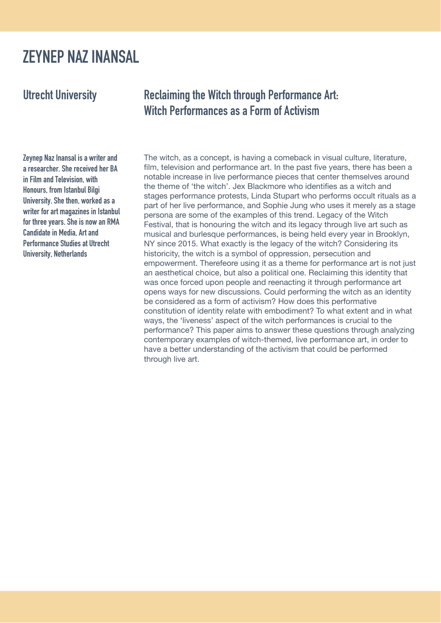The witch, as a concept, is having a comeback in visual culture, literature,

film, television and performance art. In the past five years, there has been a notable increase in live performance pieces that center themselves around the theme of 'the witch'. Jex Blackmore who identifies as a witch and stages performance protests, Linda Stupart who performs occult rituals as a part of her live performance, and Sophie Jung who uses it merely as a stage persona are some of the examples of this trend. Legacy of the Witch Festival, that is honouring the witch and its legacy through live art such as musical and burlesque performances, is being held every year in Brooklyn, NY since 2015. What exactly is the legacy of the witch? Considering its historicity, the witch is a symbol of oppression, persecution and empowerment. Therefeore using it as a theme for performance art is not just an aesthetical choice, but also a political one. Reclaiming this identity that was once forced upon people and reenacting it through performance art opens ways for new discussions. Could performing the witch as an identity be considered as a form of activism? How does this performative constitution of identity relate with embodiment? To what extent and in what ways, the 'liveness' aspect of the witch performances is crucial to the performance? This paper aims to answer these questions through analyzing contemporary examples of witch-themed, live performance art, in order to have a better understanding of the activism that could be performed through live art.

#### Utrecht University Reclaiming the Witch through Performance Art: Witch Performances as a Form of Activism

Zeynep Naz Inansal is a writer and a researcher. She received her BA in Film and Television, with Honours, from Istanbul Bilgi University. She then, worked as a writer for art magazines in Istanbul for three years. She is now an RMA Candidate in Media, Art and Performance Studies at Utrecht University, Netherlands

### ZEYNEP NAZ INANSAL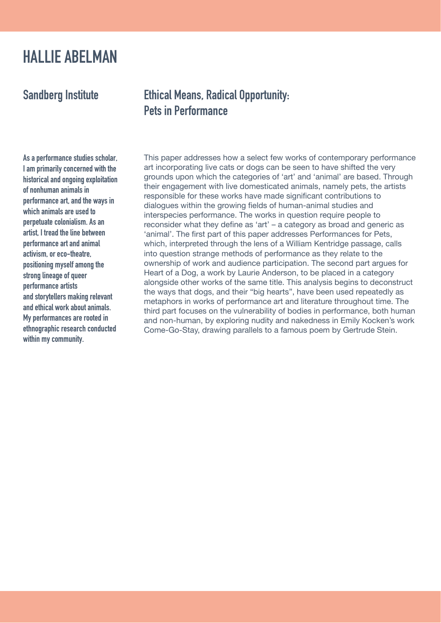This paper addresses how a select few works of contemporary performance

art incorporating live cats or dogs can be seen to have shifted the very grounds upon which the categories of 'art' and 'animal' are based. Through their engagement with live domesticated animals, namely pets, the artists responsible for these works have made significant contributions to dialogues within the growing fields of human-animal studies and interspecies performance. The works in question require people to reconsider what they define as 'art' – a category as broad and generic as 'animal'. The first part of this paper addresses Performances for Pets, which, interpreted through the lens of a William Kentridge passage, calls into question strange methods of performance as they relate to the ownership of work and audience participation. The second part argues for Heart of a Dog, a work by Laurie Anderson, to be placed in a category alongside other works of the same title. This analysis begins to deconstruct the ways that dogs, and their "big hearts", have been used repeatedly as metaphors in works of performance art and literature throughout time. The third part focuses on the vulnerability of bodies in performance, both human and non-human, by exploring nudity and nakedness in Emily Kocken's work Come-Go-Stay, drawing parallels to a famous poem by Gertrude Stein.

As a performance studies scholar,

I am primarily concerned with the historical and ongoing exploitation of nonhuman animals in performance art, and the ways in which animals are used to perpetuate colonialism. As an artist, I tread the line between performance art and animal activism, or eco-theatre, positioning myself among the strong lineage of queer performance artists and storytellers making relevant and ethical work about animals. My performances are rooted in

ethnographic research conducted within my community.

#### HALLIE ABELMAN

#### Sandberg Institute Ethical Means, Radical Opportunity: Pets in Performance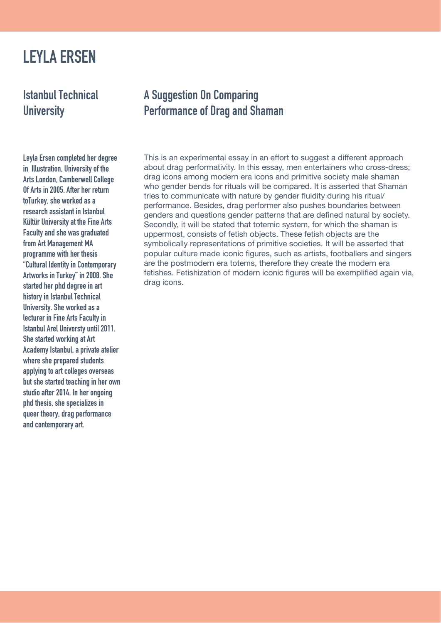This is an experimental essay in an effort to suggest a different approach about drag performativity. In this essay, men entertainers who cross-dress; drag icons among modern era icons and primitive society male shaman who gender bends for rituals will be compared. It is asserted that Shaman tries to communicate with nature by gender fluidity during his ritual/ performance. Besides, drag performer also pushes boundaries between genders and questions gender patterns that are defined natural by society. Secondly, it will be stated that totemic system, for which the shaman is uppermost, consists of fetish objects. These fetish objects are the symbolically representations of primitive societies. It will be asserted that popular culture made iconic figures, such as artists, footballers and singers are the postmodern era totems, therefore they create the modern era fetishes. Fetishization of modern iconic figures will be exemplified again via, drag icons.

Istanbul Technical **University** 

Leyla Ersen completed her degree

in Illustration, University of the Arts London, Camberwell College Of Arts in 2005. After her return toTurkey, she worked as a research assistant in Istanbul Kültür University at the Fine Arts Faculty and she was graduated from Art Management MA programme with her thesis "Cultural Identity in Contemporary Artworks in Turkey" in 2008. She started her phd degree in art history in Istanbul Technical University. She worked as a lecturer in Fine Arts Faculty in Istanbul Arel Universty until 2011. She started working at Art Academy Istanbul, a private atelier where she prepared students applying to art colleges overseas but she started teaching in her own studio after 2014. In her ongoing phd thesis, she specializes in queer theory, drag performance and contemporary art.

## LEYLA ERSEN

#### A Suggestion On Comparing Performance of Drag and Shaman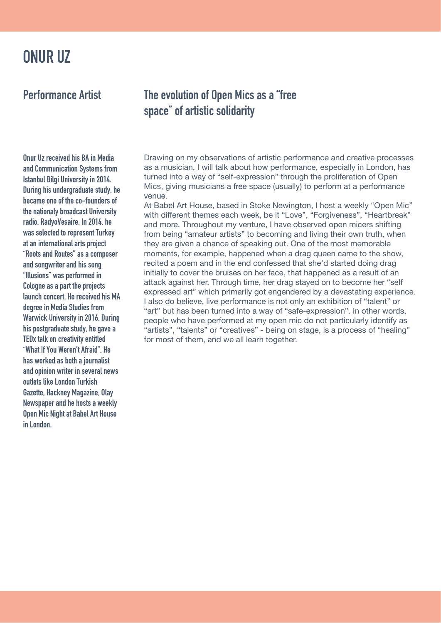Drawing on my observations of artistic performance and creative processes

as a musician, I will talk about how performance, especially in London, has turned into a way of "self-expression" through the proliferation of Open Mics, giving musicians a free space (usually) to perform at a performance venue.

At Babel Art House, based in Stoke Newington, I host a weekly "Open Mic" with different themes each week, be it "Love", "Forgiveness", "Heartbreak" and more. Throughout my venture, I have observed open micers shifting from being "amateur artists" to becoming and living their own truth, when they are given a chance of speaking out. One of the most memorable moments, for example, happened when a drag queen came to the show, recited a poem and in the end confessed that she'd started doing drag initially to cover the bruises on her face, that happened as a result of an attack against her. Through time, her drag stayed on to become her "self expressed art" which primarily got engendered by a devastating experience. also do believe, live performance is not only an exhibition of "talent" or "art" but has been turned into a way of "safe-expression". In other words, people who have performed at my open mic do not particularly identify as "artists", "talents" or "creatives" - being on stage, is a process of "healing" for most of them, and we all learn together.

#### Performance Artist The evolution of Open Mics as a "free space" of artistic solidarity

Onur Uz received his BA in Media

and Communication Systems from Istanbul Bilgi University in 2014. During his undergraduate study, he became one of the co-founders of the nationaly broadcast University radio, RadyoVesaire. In 2014, he was selected to represent Turkey at an international arts project "Roots and Routes" as a composer and songwriter and his song "Illusions" was performed in Cologne as a part the projects launch concert. He received his MA degree in Media Studies from Warwick University in 2016. During his postgraduate study, he gave a TEDx talk on creativity entitled "What If You Weren't Afraid". He has worked as both a journalist and opinion writer in several news outlets like London Turkish Gazette, Hackney Magazine, Olay Newspaper and he hosts a weekly Open Mic Night at Babel Art House in London.

### ONUR UZ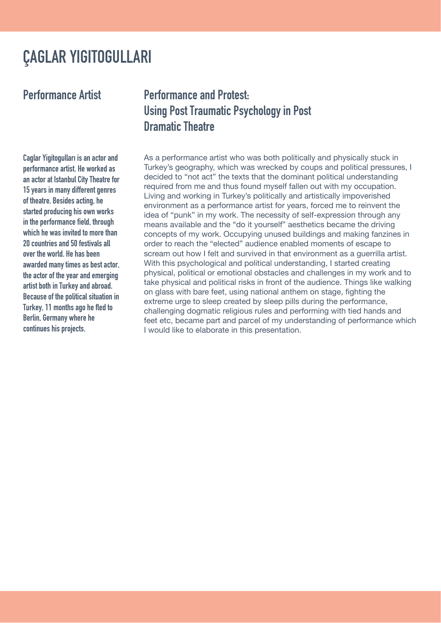As a performance artist who was both politically and physically stuck in

Turkey's geography, which was wrecked by coups and political pressures, I decided to "not act" the texts that the dominant political understanding required from me and thus found myself fallen out with my occupation. Living and working in Turkey's politically and artistically impoverished environment as a performance artist for years, forced me to reinvent the idea of "punk" in my work. The necessity of self-expression through any means available and the "do it yourself" aesthetics became the driving concepts of my work. Occupying unused buildings and making fanzines in order to reach the "elected" audience enabled moments of escape to scream out how I felt and survived in that environment as a guerrilla artist. With this psychological and political understanding, I started creating physical, political or emotional obstacles and challenges in my work and to take physical and political risks in front of the audience. Things like walking on glass with bare feet, using national anthem on stage, fighting the extreme urge to sleep created by sleep pills during the performance, challenging dogmatic religious rules and performing with tied hands and feet etc, became part and parcel of my understanding of performance which I would like to elaborate in this presentation.

#### Performance Artist Performance and Protest: Using Post Traumatic Psychology in Post Dramatic Theatre

Caglar Yigitogulları is an actor and

performance artist. He worked as an actor at Istanbul City Theatre for 15 years in many different genres of theatre. Besides acting, he started producing his own works in the performance field, through which he was invited to more than 20 countries and 50 festivals all over the world. He has been awarded many times as best actor, the actor of the year and emerging artist both in Turkey and abroad. Because of the political situation in Turkey, 11 months ago he fled to Berlin, Germany where he

continues his projects.

## ÇAGLAR YIGITOGULLARI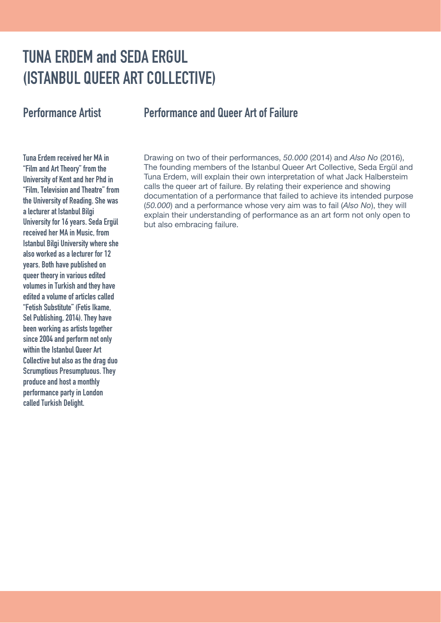Drawing on two of their performances, *50.000* (2014) and *Also No* (2016), The founding members of the Istanbul Queer Art Collective, Seda Ergül and Tuna Erdem, will explain their own interpretation of what Jack Halbersteim calls the queer art of failure. By relating their experience and showing documentation of a performance that failed to achieve its intended purpose (*50.000*) and a performance whose very aim was to fail (*Also No*), they will explain their understanding of performance as an art form not only open to but also embracing failure.

Tuna Erdem received her MA in

"Film and Art Theory" from the University of Kent and her Phd in "Film, Television and Theatre" from the University of Reading. She was a lecturer at Istanbul Bilgi University for 16 years. Seda Ergül received her MA in Music, from Istanbul Bilgi University where she also worked as a lecturer for 12 years. Both have published on queer theory in various edited volumes in Turkish and they have edited a volume of articles called "Fetish Substitute" (Fetis Ikame, Sel Publishing, 2014). They have been working as artists together since 2004 and perform not only within the Istanbul Queer Art Collective but also as the drag duo Scrumptious Presumptuous. They produce and host a monthly performance party in London called Turkish Delight.

## TUNA ERDEM and SEDA ERGUL (ISTANBUL QUEER ART COLLECTIVE)

#### Performance Artist Performance and Queer Art of Failure